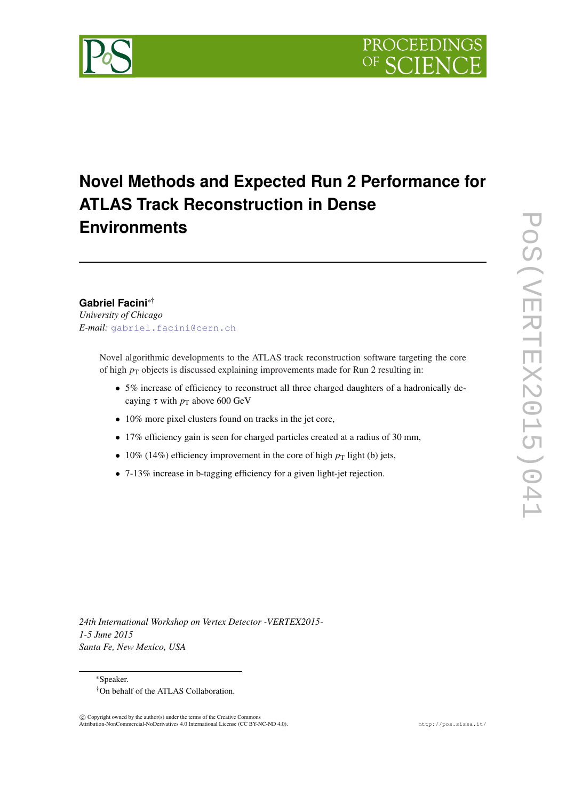

# **Novel Methods and Expected Run 2 Performance for ATLAS Track Reconstruction in Dense Environments**

# **Gabriel Facini**∗†

*University of Chicago E-mail:* [gabriel.facini@cern.ch](mailto:gabriel.facini@cern.ch)

> Novel algorithmic developments to the ATLAS track reconstruction software targeting the core of high  $p_T$  objects is discussed explaining improvements made for Run 2 resulting in:

- 5% increase of efficiency to reconstruct all three charged daughters of a hadronically decaying  $\tau$  with  $p_T$  above 600 GeV
- 10% more pixel clusters found on tracks in the jet core,
- 17% efficiency gain is seen for charged particles created at a radius of 30 mm,
- 10% (14%) efficiency improvement in the core of high  $p_T$  light (b) jets,
- 7-13% increase in b-tagging efficiency for a given light-jet rejection.

*24th International Workshop on Vertex Detector -VERTEX2015- 1-5 June 2015 Santa Fe, New Mexico, USA*

<sup>∗</sup>Speaker.

 $\overline{c}$  Copyright owned by the author(s) under the terms of the Creative Common Attribution-NonCommercial-NoDerivatives 4.0 International License (CC BY-NC-ND 4.0). http://pos.sissa.it/

<sup>†</sup>On behalf of the ATLAS Collaboration.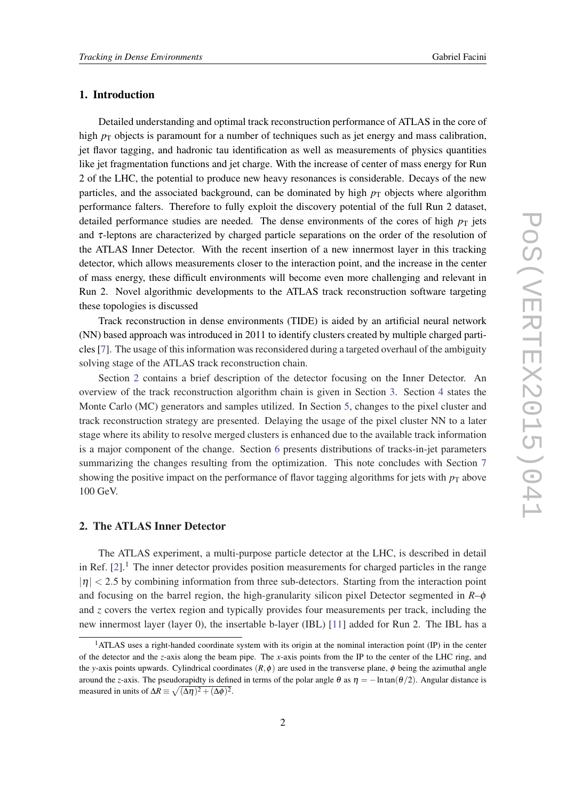# 1. Introduction

Detailed understanding and optimal track reconstruction performance of ATLAS in the core of high  $p<sub>T</sub>$  objects is paramount for a number of techniques such as jet energy and mass calibration, jet flavor tagging, and hadronic tau identification as well as measurements of physics quantities like jet fragmentation functions and jet charge. With the increase of center of mass energy for Run 2 of the LHC, the potential to produce new heavy resonances is considerable. Decays of the new particles, and the associated background, can be dominated by high  $p<sub>T</sub>$  objects where algorithm performance falters. Therefore to fully exploit the discovery potential of the full Run 2 dataset, detailed performance studies are needed. The dense environments of the cores of high  $p<sub>T</sub>$  jets and  $\tau$ -leptons are characterized by charged particle separations on the order of the resolution of the ATLAS Inner Detector. With the recent insertion of a new innermost layer in this tracking detector, which allows measurements closer to the interaction point, and the increase in the center of mass energy, these difficult environments will become even more challenging and relevant in Run 2. Novel algorithmic developments to the ATLAS track reconstruction software targeting these topologies is discussed

Track reconstruction in dense environments (TIDE) is aided by an artificial neural network (NN) based approach was introduced in 2011 to identify clusters created by multiple charged particles [\[7](#page-16-0)]. The usage of this information was reconsidered during a targeted overhaul of the ambiguity solving stage of the ATLAS track reconstruction chain.

Section 2 contains a brief description of the detector focusing on the Inner Detector. An overview of the track reconstruction algorithm chain is given in Section [3](#page-2-0). Section [4](#page-4-0) states the Monte Carlo (MC) generators and samples utilized. In Section [5,](#page-4-0) changes to the pixel cluster and track reconstruction strategy are presented. Delaying the usage of the pixel cluster NN to a later stage where its ability to resolve merged clusters is enhanced due to the available track information is a major component of the change. Section [6](#page-11-0) presents distributions of tracks-in-jet parameters summarizing the changes resulting from the optimization. This note concludes with Section [7](#page-13-0) showing the positive impact on the performance of flavor tagging algorithms for jets with  $p<sub>T</sub>$  above 100 GeV.

# 2. The ATLAS Inner Detector

The ATLAS experiment, a multi-purpose particle detector at the LHC, is described in detail in Ref.  $[2]$  $[2]$  $[2]$ <sup>1</sup>. The inner detector provides position measurements for charged particles in the range  $|\eta|$  < 2.5 by combining information from three sub-detectors. Starting from the interaction point and focusing on the barrel region, the high-granularity silicon pixel Detector segmented in *R*–φ and *z* covers the vertex region and typically provides four measurements per track, including the new innermost layer (layer 0), the insertable b-layer (IBL) [\[11](#page-17-0)] added for Run 2. The IBL has a

<sup>&</sup>lt;sup>1</sup>ATLAS uses a right-handed coordinate system with its origin at the nominal interaction point (IP) in the center of the detector and the *z*-axis along the beam pipe. The *x*-axis points from the IP to the center of the LHC ring, and the *y*-axis points upwards. Cylindrical coordinates  $(R, \phi)$  are used in the transverse plane,  $\phi$  being the azimuthal angle around the *z*-axis. The pseudorapidty is defined in terms of the polar angle  $\theta$  as  $\eta = -\ln \tan(\theta/2)$ . Angular distance is measured in units of  $\Delta R \equiv \sqrt{(\Delta \eta)^2 + (\Delta \phi)^2}$ .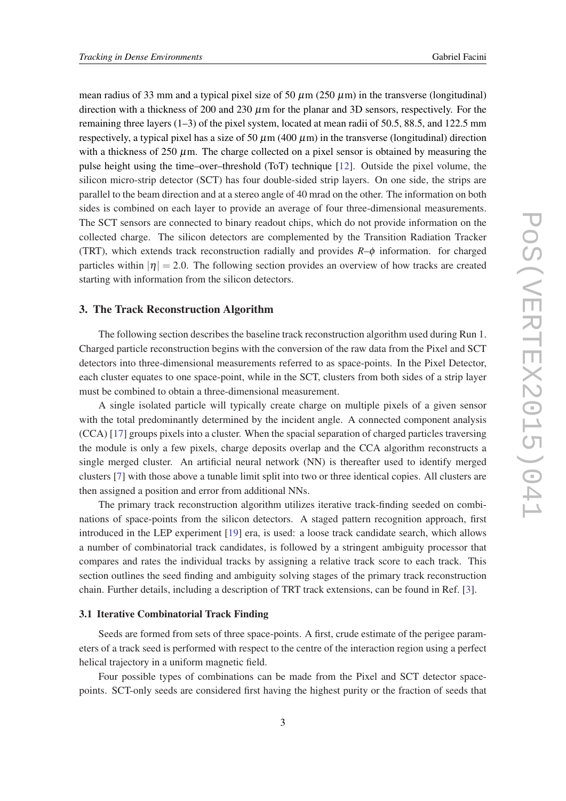<span id="page-2-0"></span>mean radius of 33 mm and a typical pixel size of 50  $\mu$ m (250  $\mu$ m) in the transverse (longitudinal) direction with a thickness of 200 and 230  $\mu$ m for the planar and 3D sensors, respectively. For the remaining three layers (1–3) of the pixel system, located at mean radii of 50.5, 88.5, and 122.5 mm respectively, a typical pixel has a size of 50  $\mu$ m (400  $\mu$ m) in the transverse (longitudinal) direction with a thickness of 250  $\mu$ m. The charge collected on a pixel sensor is obtained by measuring the pulse height using the time–over–threshold (ToT) technique [[12\]](#page-17-0). Outside the pixel volume, the silicon micro-strip detector (SCT) has four double-sided strip layers. On one side, the strips are parallel to the beam direction and at a stereo angle of 40 mrad on the other. The information on both sides is combined on each layer to provide an average of four three-dimensional measurements. The SCT sensors are connected to binary readout chips, which do not provide information on the collected charge. The silicon detectors are complemented by the Transition Radiation Tracker (TRT), which extends track reconstruction radially and provides  $R-\phi$  information. for charged particles within  $|\eta| = 2.0$ . The following section provides an overview of how tracks are created starting with information from the silicon detectors.

# 3. The Track Reconstruction Algorithm

The following section describes the baseline track reconstruction algorithm used during Run 1. Charged particle reconstruction begins with the conversion of the raw data from the Pixel and SCT detectors into three-dimensional measurements referred to as space-points. In the Pixel Detector, each cluster equates to one space-point, while in the SCT, clusters from both sides of a strip layer must be combined to obtain a three-dimensional measurement.

A single isolated particle will typically create charge on multiple pixels of a given sensor with the total predominantly determined by the incident angle. A connected component analysis (CCA) [\[17\]](#page-17-0) groups pixels into a cluster. When the spacial separation of charged particles traversing the module is only a few pixels, charge deposits overlap and the CCA algorithm reconstructs a single merged cluster. An artificial neural network (NN) is thereafter used to identify merged clusters [[7](#page-16-0)] with those above a tunable limit split into two or three identical copies. All clusters are then assigned a position and error from additional NNs.

The primary track reconstruction algorithm utilizes iterative track-finding seeded on combinations of space-points from the silicon detectors. A staged pattern recognition approach, first introduced in the LEP experiment [\[19\]](#page-17-0) era, is used: a loose track candidate search, which allows a number of combinatorial track candidates, is followed by a stringent ambiguity processor that compares and rates the individual tracks by assigning a relative track score to each track. This section outlines the seed finding and ambiguity solving stages of the primary track reconstruction chain. Further details, including a description of TRT track extensions, can be found in Ref. [\[3\]](#page-16-0).

# 3.1 Iterative Combinatorial Track Finding

Seeds are formed from sets of three space-points. A first, crude estimate of the perigee parameters of a track seed is performed with respect to the centre of the interaction region using a perfect helical trajectory in a uniform magnetic field.

Four possible types of combinations can be made from the Pixel and SCT detector spacepoints. SCT-only seeds are considered first having the highest purity or the fraction of seeds that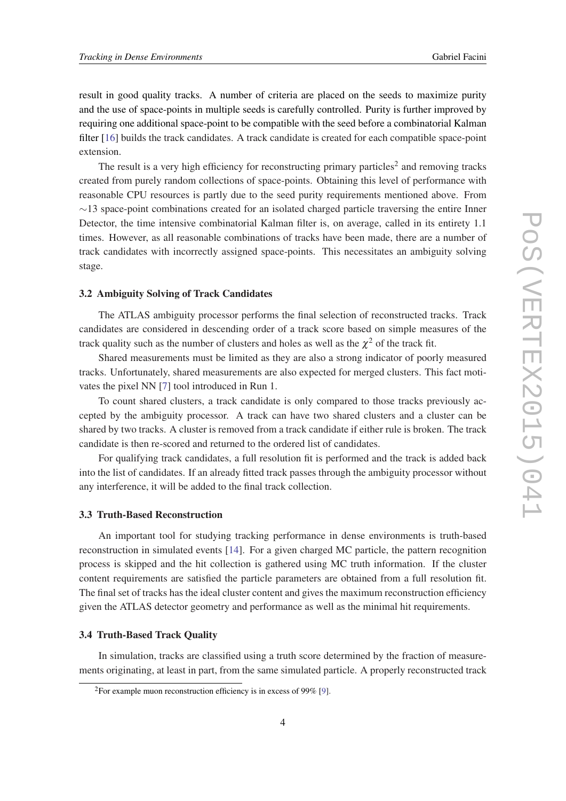<span id="page-3-0"></span>result in good quality tracks. A number of criteria are placed on the seeds to maximize purity and the use of space-points in multiple seeds is carefully controlled. Purity is further improved by requiring one additional space-point to be compatible with the seed before a combinatorial Kalman filter [\[16](#page-17-0)] builds the track candidates. A track candidate is created for each compatible space-point extension.

The result is a very high efficiency for reconstructing primary particles<sup>2</sup> and removing tracks created from purely random collections of space-points. Obtaining this level of performance with reasonable CPU resources is partly due to the seed purity requirements mentioned above. From  $\sim$ 13 space-point combinations created for an isolated charged particle traversing the entire Inner Detector, the time intensive combinatorial Kalman filter is, on average, called in its entirety 1.1 times. However, as all reasonable combinations of tracks have been made, there are a number of track candidates with incorrectly assigned space-points. This necessitates an ambiguity solving stage.

# 3.2 Ambiguity Solving of Track Candidates

The ATLAS ambiguity processor performs the final selection of reconstructed tracks. Track candidates are considered in descending order of a track score based on simple measures of the track quality such as the number of clusters and holes as well as the  $\chi^2$  of the track fit.

Shared measurements must be limited as they are also a strong indicator of poorly measured tracks. Unfortunately, shared measurements are also expected for merged clusters. This fact motivates the pixel NN [[7](#page-16-0)] tool introduced in Run 1.

To count shared clusters, a track candidate is only compared to those tracks previously accepted by the ambiguity processor. A track can have two shared clusters and a cluster can be shared by two tracks. A cluster is removed from a track candidate if either rule is broken. The track candidate is then re-scored and returned to the ordered list of candidates.

For qualifying track candidates, a full resolution fit is performed and the track is added back into the list of candidates. If an already fitted track passes through the ambiguity processor without any interference, it will be added to the final track collection.

#### 3.3 Truth-Based Reconstruction

An important tool for studying tracking performance in dense environments is truth-based reconstruction in simulated events [[14](#page-17-0)]. For a given charged MC particle, the pattern recognition process is skipped and the hit collection is gathered using MC truth information. If the cluster content requirements are satisfied the particle parameters are obtained from a full resolution fit. The final set of tracks has the ideal cluster content and gives the maximum reconstruction efficiency given the ATLAS detector geometry and performance as well as the minimal hit requirements.

# 3.4 Truth-Based Track Quality

In simulation, tracks are classified using a truth score determined by the fraction of measurements originating, at least in part, from the same simulated particle. A properly reconstructed track

<sup>&</sup>lt;sup>2</sup>For example muon reconstruction efficiency is in excess of 99% [\[9\]](#page-17-0).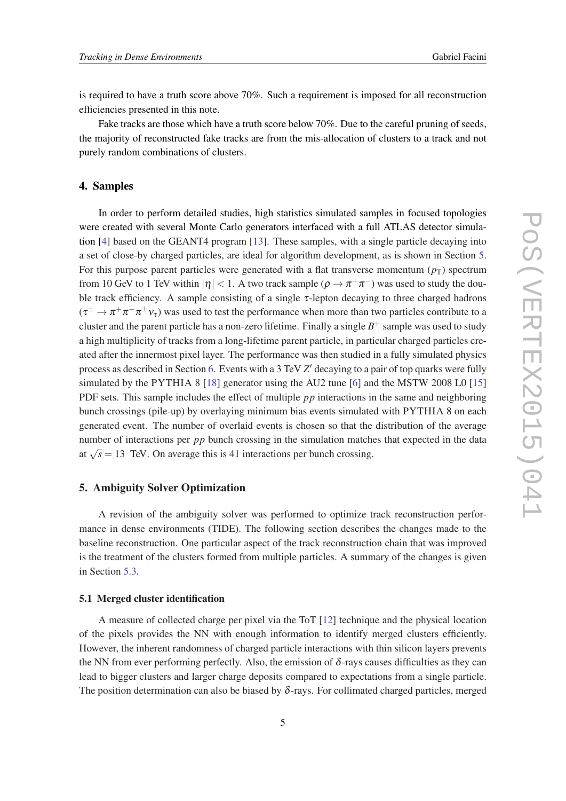<span id="page-4-0"></span>is required to have a truth score above 70%. Such a requirement is imposed for all reconstruction efficiencies presented in this note.

Fake tracks are those which have a truth score below 70%. Due to the careful pruning of seeds, the majority of reconstructed fake tracks are from the mis-allocation of clusters to a track and not purely random combinations of clusters.

# 4. Samples

In order to perform detailed studies, high statistics simulated samples in focused topologies were created with several Monte Carlo generators interfaced with a full ATLAS detector simulation [[4](#page-16-0)] based on the GEANT4 program [\[13](#page-17-0)]. These samples, with a single particle decaying into a set of close-by charged particles, are ideal for algorithm development, as is shown in Section 5. For this purpose parent particles were generated with a flat transverse momentum  $(p_T)$  spectrum from 10 GeV to 1 TeV within  $|\eta| < 1$ . A two track sample  $(\rho \to \pi^+ \pi^-)$  was used to study the double track efficiency. A sample consisting of a single  $\tau$ -lepton decaying to three charged hadrons  $(\tau^\pm\to\pi^+\pi^-\pi^\pm\nu_\tau)$  was used to test the performance when more than two particles contribute to a cluster and the parent particle has a non-zero lifetime. Finally a single  $B^+$  sample was used to study a high multiplicity of tracks from a long-lifetime parent particle, in particular charged particles created after the innermost pixel layer. The performance was then studied in a fully simulated physics process as described in Section [6.](#page-11-0) Events with a 3 TeV Z' decaying to a pair of top quarks were fully simulated by the PYTHIA 8 [\[18](#page-17-0)] generator using the AU2 tune [[6](#page-16-0)] and the MSTW 2008 L0 [\[15](#page-17-0)] PDF sets. This sample includes the effect of multiple *pp* interactions in the same and neighboring bunch crossings (pile-up) by overlaying minimum bias events simulated with PYTHIA 8 on each generated event. The number of overlaid events is chosen so that the distribution of the average number of interactions per *pp* bunch crossing in the simulation matches that expected in the data at  $\sqrt{s}$  = 13 TeV. On average this is 41 interactions per bunch crossing.

# 5. Ambiguity Solver Optimization

A revision of the ambiguity solver was performed to optimize track reconstruction performance in dense environments (TIDE). The following section describes the changes made to the baseline reconstruction. One particular aspect of the track reconstruction chain that was improved is the treatment of the clusters formed from multiple particles. A summary of the changes is given in Section [5.3.](#page-11-0)

#### 5.1 Merged cluster identification

A measure of collected charge per pixel via the ToT [\[12](#page-17-0)] technique and the physical location of the pixels provides the NN with enough information to identify merged clusters efficiently. However, the inherent randomness of charged particle interactions with thin silicon layers prevents the NN from ever performing perfectly. Also, the emission of  $\delta$ -rays causes difficulties as they can lead to bigger clusters and larger charge deposits compared to expectations from a single particle. The position determination can also be biased by  $\delta$ -rays. For collimated charged particles, merged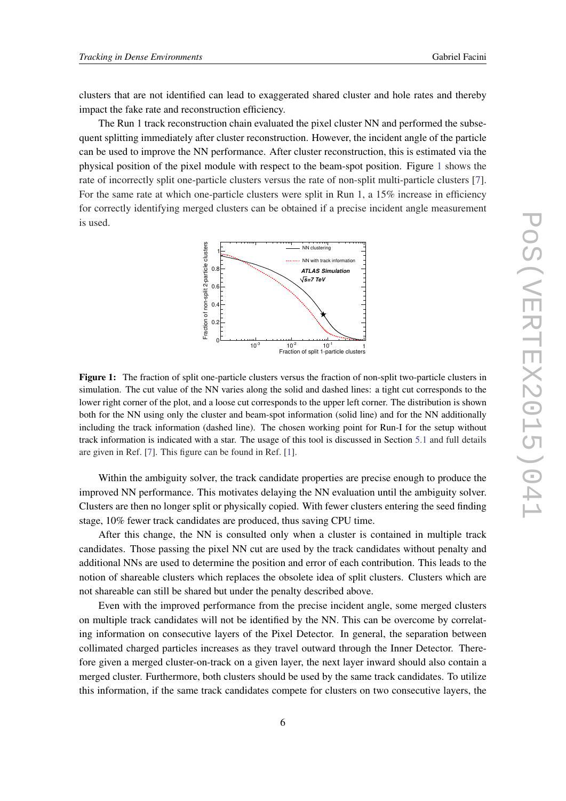clusters that are not identified can lead to exaggerated shared cluster and hole rates and thereby impact the fake rate and reconstruction efficiency.

The Run 1 track reconstruction chain evaluated the pixel cluster NN and performed the subsequent splitting immediately after cluster reconstruction. However, the incident angle of the particle can be used to improve the NN performance. After cluster reconstruction, this is estimated via the physical position of the pixel module with respect to the beam-spot position. Figure 1 shows the rate of incorrectly split one-particle clusters versus the rate of non-split multi-particle clusters [\[7\]](#page-16-0). For the same rate at which one-particle clusters were split in Run 1, a 15% increase in efficiency for correctly identifying merged clusters can be obtained if a precise incident angle measurement is used.



Figure 1: The fraction of split one-particle clusters versus the fraction of non-split two-particle clusters in simulation. The cut value of the NN varies along the solid and dashed lines: a tight cut corresponds to the lower right corner of the plot, and a loose cut corresponds to the upper left corner. The distribution is shown both for the NN using only the cluster and beam-spot information (solid line) and for the NN additionally including the track information (dashed line). The chosen working point for Run-I for the setup without track information is indicated with a star. The usage of this tool is discussed in Section [5.1](#page-4-0) and full details are given in Ref. [\[7](#page-16-0)]. This figure can be found in Ref. [[1\]](#page-16-0).

Within the ambiguity solver, the track candidate properties are precise enough to produce the improved NN performance. This motivates delaying the NN evaluation until the ambiguity solver. Clusters are then no longer split or physically copied. With fewer clusters entering the seed finding stage, 10% fewer track candidates are produced, thus saving CPU time.

After this change, the NN is consulted only when a cluster is contained in multiple track candidates. Those passing the pixel NN cut are used by the track candidates without penalty and additional NNs are used to determine the position and error of each contribution. This leads to the notion of shareable clusters which replaces the obsolete idea of split clusters. Clusters which are not shareable can still be shared but under the penalty described above.

Even with the improved performance from the precise incident angle, some merged clusters on multiple track candidates will not be identified by the NN. This can be overcome by correlating information on consecutive layers of the Pixel Detector. In general, the separation between collimated charged particles increases as they travel outward through the Inner Detector. Therefore given a merged cluster-on-track on a given layer, the next layer inward should also contain a merged cluster. Furthermore, both clusters should be used by the same track candidates. To utilize this information, if the same track candidates compete for clusters on two consecutive layers, the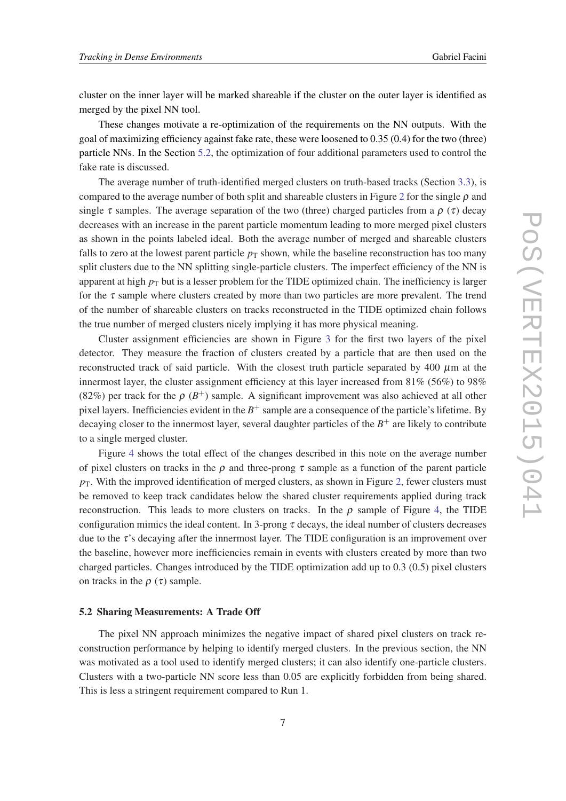cluster on the inner layer will be marked shareable if the cluster on the outer layer is identified as merged by the pixel NN tool.

These changes motivate a re-optimization of the requirements on the NN outputs. With the goal of maximizing efficiency against fake rate, these were loosened to 0.35 (0.4) for the two (three) particle NNs. In the Section 5.2, the optimization of four additional parameters used to control the fake rate is discussed.

The average number of truth-identified merged clusters on truth-based tracks (Section [3.3](#page-3-0)), is compared to the average number of both split and shareable clusters in Figure [2](#page-7-0) for the single  $\rho$  and single  $\tau$  samples. The average separation of the two (three) charged particles from a  $\rho(\tau)$  decay decreases with an increase in the parent particle momentum leading to more merged pixel clusters as shown in the points labeled ideal. Both the average number of merged and shareable clusters falls to zero at the lowest parent particle  $p<sub>T</sub>$  shown, while the baseline reconstruction has too many split clusters due to the NN splitting single-particle clusters. The imperfect efficiency of the NN is apparent at high  $p<sub>T</sub>$  but is a lesser problem for the TIDE optimized chain. The inefficiency is larger for the  $\tau$  sample where clusters created by more than two particles are more prevalent. The trend of the number of shareable clusters on tracks reconstructed in the TIDE optimized chain follows the true number of merged clusters nicely implying it has more physical meaning.

Cluster assignment efficiencies are shown in Figure [3](#page-7-0) for the first two layers of the pixel detector. They measure the fraction of clusters created by a particle that are then used on the reconstructed track of said particle. With the closest truth particle separated by 400  $\mu$ m at the innermost layer, the cluster assignment efficiency at this layer increased from  $81\%$  (56%) to 98% (82%) per track for the  $\rho$  ( $B^+$ ) sample. A significant improvement was also achieved at all other pixel layers. Inefficiencies evident in the *B* <sup>+</sup> sample are a consequence of the particle's lifetime. By decaying closer to the innermost layer, several daughter particles of the *B* <sup>+</sup> are likely to contribute to a single merged cluster.

Figure [4](#page-8-0) shows the total effect of the changes described in this note on the average number of pixel clusters on tracks in the  $\rho$  and three-prong  $\tau$  sample as a function of the parent particle  $p_T$ . With the improved identification of merged clusters, as shown in Figure [2,](#page-7-0) fewer clusters must be removed to keep track candidates below the shared cluster requirements applied during track reconstruction. This leads to more clusters on tracks. In the  $\rho$  sample of Figure [4](#page-8-0), the TIDE configuration mimics the ideal content. In 3-prong  $\tau$  decays, the ideal number of clusters decreases due to the  $\tau$ 's decaying after the innermost layer. The TIDE configuration is an improvement over the baseline, however more inefficiencies remain in events with clusters created by more than two charged particles. Changes introduced by the TIDE optimization add up to 0.3 (0.5) pixel clusters on tracks in the  $\rho(\tau)$  sample.

#### 5.2 Sharing Measurements: A Trade Off

The pixel NN approach minimizes the negative impact of shared pixel clusters on track reconstruction performance by helping to identify merged clusters. In the previous section, the NN was motivated as a tool used to identify merged clusters; it can also identify one-particle clusters. Clusters with a two-particle NN score less than 0.05 are explicitly forbidden from being shared. This is less a stringent requirement compared to Run 1.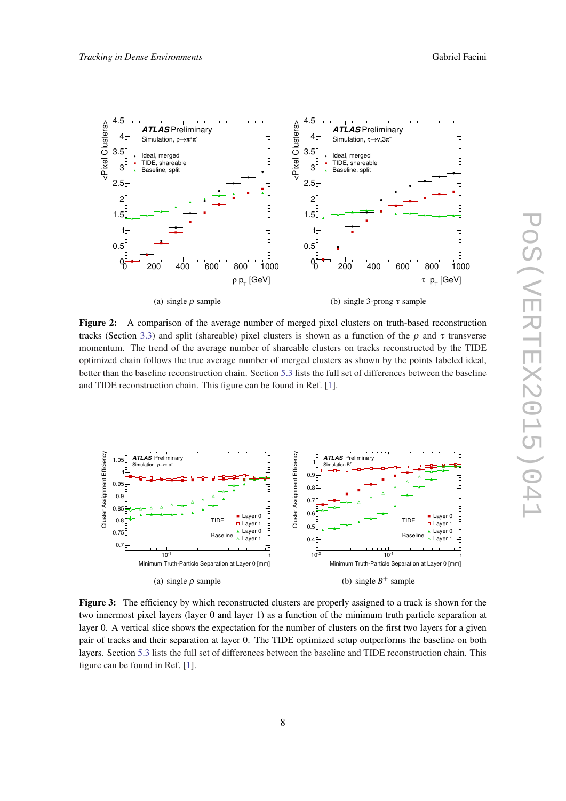<span id="page-7-0"></span>

Figure 2: A comparison of the average number of merged pixel clusters on truth-based reconstruction tracks (Section [3.3\)](#page-3-0) and split (shareable) pixel clusters is shown as a function of the  $ρ$  and τ transverse momentum. The trend of the average number of shareable clusters on tracks reconstructed by the TIDE optimized chain follows the true average number of merged clusters as shown by the points labeled ideal, better than the baseline reconstruction chain. Section [5.3](#page-11-0) lists the full set of differences between the baseline and TIDE reconstruction chain. This figure can be found in Ref. [[1\]](#page-16-0).



Figure 3: The efficiency by which reconstructed clusters are properly assigned to a track is shown for the two innermost pixel layers (layer 0 and layer 1) as a function of the minimum truth particle separation at layer 0. A vertical slice shows the expectation for the number of clusters on the first two layers for a given pair of tracks and their separation at layer 0. The TIDE optimized setup outperforms the baseline on both layers. Section [5.3](#page-11-0) lists the full set of differences between the baseline and TIDE reconstruction chain. This figure can be found in Ref. [[1\]](#page-16-0).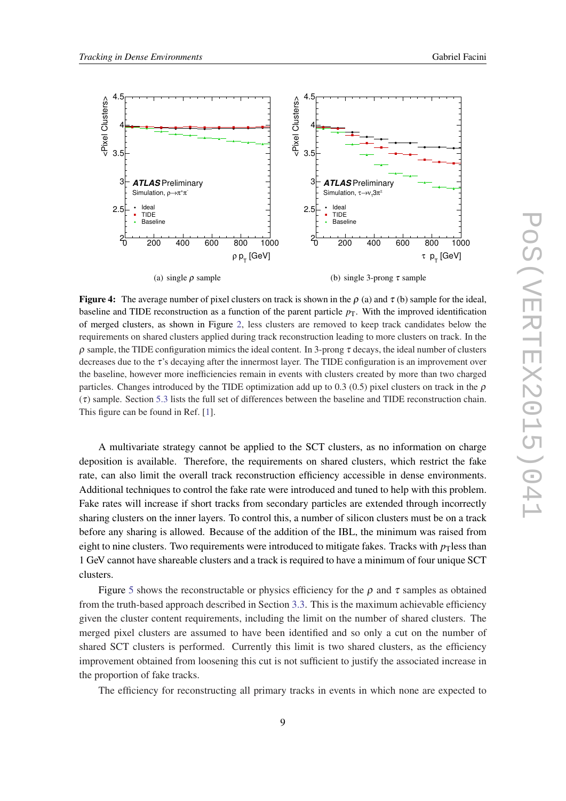<span id="page-8-0"></span>

**Figure 4:** The average number of pixel clusters on track is shown in the  $\rho$  (a) and  $\tau$  (b) sample for the ideal, baseline and TIDE reconstruction as a function of the parent particle  $p<sub>T</sub>$ . With the improved identification of merged clusters, as shown in Figure [2](#page-7-0), less clusters are removed to keep track candidates below the requirements on shared clusters applied during track reconstruction leading to more clusters on track. In the ρ sample, the TIDE configuration mimics the ideal content. In 3-prong τ decays, the ideal number of clusters decreases due to the  $\tau$ 's decaying after the innermost layer. The TIDE configuration is an improvement over the baseline, however more inefficiencies remain in events with clusters created by more than two charged particles. Changes introduced by the TIDE optimization add up to 0.3 (0.5) pixel clusters on track in the  $\rho$  $(\tau)$  sample. Section [5.3](#page-11-0) lists the full set of differences between the baseline and TIDE reconstruction chain. This figure can be found in Ref. [\[1](#page-16-0)].

A multivariate strategy cannot be applied to the SCT clusters, as no information on charge deposition is available. Therefore, the requirements on shared clusters, which restrict the fake rate, can also limit the overall track reconstruction efficiency accessible in dense environments. Additional techniques to control the fake rate were introduced and tuned to help with this problem. Fake rates will increase if short tracks from secondary particles are extended through incorrectly sharing clusters on the inner layers. To control this, a number of silicon clusters must be on a track before any sharing is allowed. Because of the addition of the IBL, the minimum was raised from eight to nine clusters. Two requirements were introduced to mitigate fakes. Tracks with  $p<sub>T</sub>$  less than 1 GeV cannot have shareable clusters and a track is required to have a minimum of four unique SCT clusters.

Figure [5](#page-9-0) shows the reconstructable or physics efficiency for the  $\rho$  and  $\tau$  samples as obtained from the truth-based approach described in Section [3.3.](#page-3-0) This is the maximum achievable efficiency given the cluster content requirements, including the limit on the number of shared clusters. The merged pixel clusters are assumed to have been identified and so only a cut on the number of shared SCT clusters is performed. Currently this limit is two shared clusters, as the efficiency improvement obtained from loosening this cut is not sufficient to justify the associated increase in the proportion of fake tracks.

The efficiency for reconstructing all primary tracks in events in which none are expected to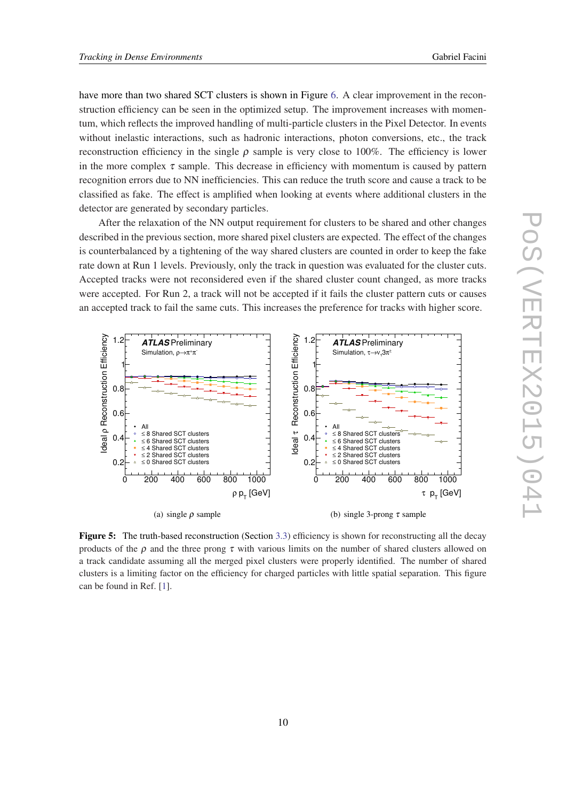<span id="page-9-0"></span>have more than two shared SCT clusters is shown in Figure [6.](#page-10-0) A clear improvement in the reconstruction efficiency can be seen in the optimized setup. The improvement increases with momentum, which reflects the improved handling of multi-particle clusters in the Pixel Detector. In events without inelastic interactions, such as hadronic interactions, photon conversions, etc., the track reconstruction efficiency in the single  $ρ$  sample is very close to 100%. The efficiency is lower in the more complex  $\tau$  sample. This decrease in efficiency with momentum is caused by pattern recognition errors due to NN inefficiencies. This can reduce the truth score and cause a track to be classified as fake. The effect is amplified when looking at events where additional clusters in the detector are generated by secondary particles.

After the relaxation of the NN output requirement for clusters to be shared and other changes described in the previous section, more shared pixel clusters are expected. The effect of the changes is counterbalanced by a tightening of the way shared clusters are counted in order to keep the fake rate down at Run 1 levels. Previously, only the track in question was evaluated for the cluster cuts. Accepted tracks were not reconsidered even if the shared cluster count changed, as more tracks were accepted. For Run 2, a track will not be accepted if it fails the cluster pattern cuts or causes an accepted track to fail the same cuts. This increases the preference for tracks with higher score.



Figure 5: The truth-based reconstruction (Section [3.3](#page-3-0)) efficiency is shown for reconstructing all the decay products of the  $\rho$  and the three prong  $\tau$  with various limits on the number of shared clusters allowed on a track candidate assuming all the merged pixel clusters were properly identified. The number of shared clusters is a limiting factor on the efficiency for charged particles with little spatial separation. This figure can be found in Ref. [\[1](#page-16-0)].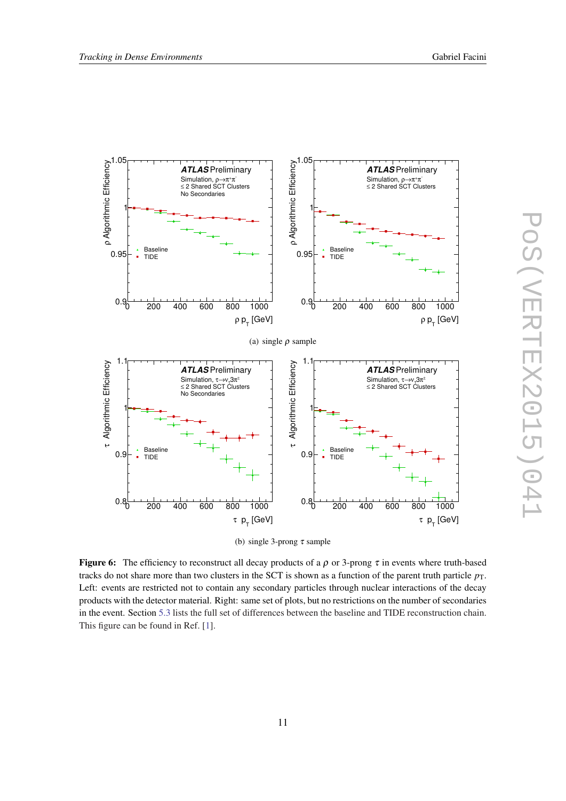<span id="page-10-0"></span>



**Figure 6:** The efficiency to reconstruct all decay products of a  $\rho$  or 3-prong  $\tau$  in events where truth-based tracks do not share more than two clusters in the SCT is shown as a function of the parent truth particle  $p_T$ . Left: events are restricted not to contain any secondary particles through nuclear interactions of the decay products with the detector material. Right: same set of plots, but no restrictions on the number of secondaries in the event. Section [5.3](#page-11-0) lists the full set of differences between the baseline and TIDE reconstruction chain. This figure can be found in Ref. [\[1](#page-16-0)].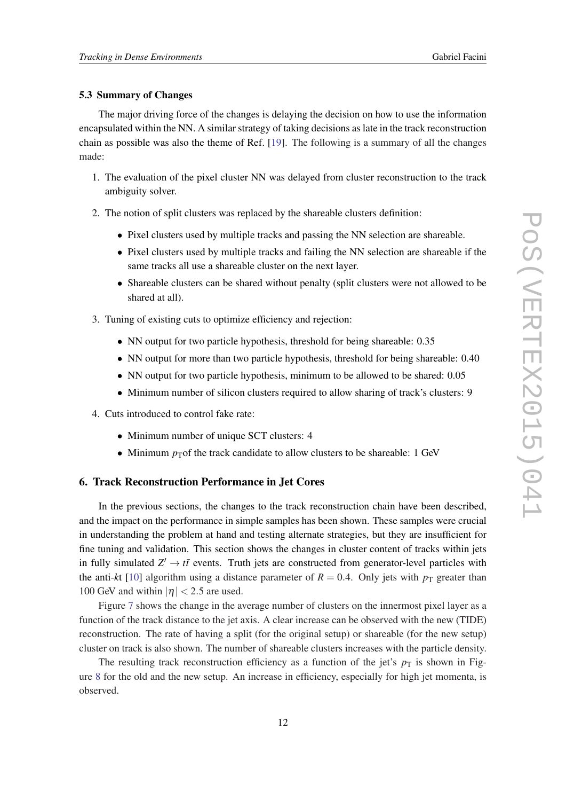#### <span id="page-11-0"></span>5.3 Summary of Changes

The major driving force of the changes is delaying the decision on how to use the information encapsulated within the NN. A similar strategy of taking decisions as late in the track reconstruction chain as possible was also the theme of Ref. [\[19](#page-17-0)]. The following is a summary of all the changes made:

- 1. The evaluation of the pixel cluster NN was delayed from cluster reconstruction to the track ambiguity solver.
- 2. The notion of split clusters was replaced by the shareable clusters definition:
	- Pixel clusters used by multiple tracks and passing the NN selection are shareable.
	- Pixel clusters used by multiple tracks and failing the NN selection are shareable if the same tracks all use a shareable cluster on the next layer.
	- Shareable clusters can be shared without penalty (split clusters were not allowed to be shared at all).
- 3. Tuning of existing cuts to optimize efficiency and rejection:
	- NN output for two particle hypothesis, threshold for being shareable: 0.35
	- NN output for more than two particle hypothesis, threshold for being shareable: 0.40
	- NN output for two particle hypothesis, minimum to be allowed to be shared: 0.05
	- Minimum number of silicon clusters required to allow sharing of track's clusters: 9
- 4. Cuts introduced to control fake rate:
	- Minimum number of unique SCT clusters: 4
	- Minimum  $p<sub>T</sub>$  of the track candidate to allow clusters to be shareable: 1 GeV

# 6. Track Reconstruction Performance in Jet Cores

In the previous sections, the changes to the track reconstruction chain have been described, and the impact on the performance in simple samples has been shown. These samples were crucial in understanding the problem at hand and testing alternate strategies, but they are insufficient for fine tuning and validation. This section shows the changes in cluster content of tracks within jets in fully simulated  $Z' \rightarrow t\bar{t}$  events. Truth jets are constructed from generator-level particles with the anti-kt [\[10](#page-17-0)] algorithm using a distance parameter of  $R = 0.4$ . Only jets with  $p<sub>T</sub>$  greater than 100 GeV and within  $|\eta|$  < 2.5 are used.

Figure [7](#page-12-0) shows the change in the average number of clusters on the innermost pixel layer as a function of the track distance to the jet axis. A clear increase can be observed with the new (TIDE) reconstruction. The rate of having a split (for the original setup) or shareable (for the new setup) cluster on track is also shown. The number of shareable clusters increases with the particle density.

The resulting track reconstruction efficiency as a function of the jet's  $p<sub>T</sub>$  is shown in Figure [8](#page-12-0) for the old and the new setup. An increase in efficiency, especially for high jet momenta, is observed.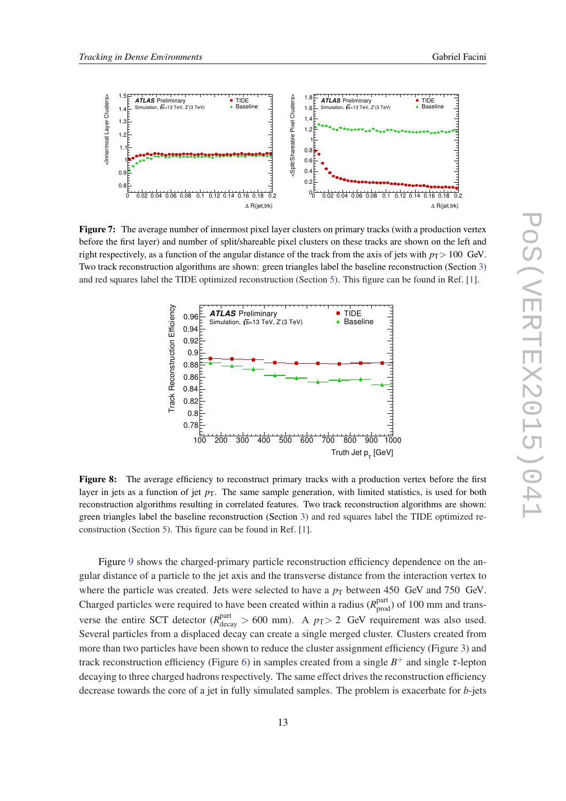<span id="page-12-0"></span>

Figure 7: The average number of innermost pixel layer clusters on primary tracks (with a production vertex before the first layer) and number of split/shareable pixel clusters on these tracks are shown on the left and right respectively, as a function of the angular distance of the track from the axis of jets with  $p_T > 100 \text{ GeV}$ . Two track reconstruction algorithms are shown: green triangles label the baseline reconstruction (Section [3\)](#page-2-0) and red squares label the TIDE optimized reconstruction (Section [5\)](#page-4-0). This figure can be found in Ref. [[1\]](#page-16-0).



Figure 8: The average efficiency to reconstruct primary tracks with a production vertex before the first layer in jets as a function of jet  $p<sub>T</sub>$ . The same sample generation, with limited statistics, is used for both reconstruction algorithms resulting in correlated features. Two track reconstruction algorithms are shown: green triangles label the baseline reconstruction (Section [3](#page-2-0)) and red squares label the TIDE optimized reconstruction (Section [5\)](#page-4-0). This figure can be found in Ref. [\[1](#page-16-0)].

Figure [9](#page-14-0) shows the charged-primary particle reconstruction efficiency dependence on the angular distance of a particle to the jet axis and the transverse distance from the interaction vertex to where the particle was created. Jets were selected to have a  $p_T$  between 450 GeV and 750 GeV. Charged particles were required to have been created within a radius  $(R<sub>prod</sub><sup>part</sup>)$  of 100 mm and transverse the entire SCT detector ( $R_{\text{decay}}^{\text{part}} > 600$  mm). A  $p_T > 2$  GeV requirement was also used. Several particles from a displaced decay can create a single merged cluster. Clusters created from more than two particles have been shown to reduce the cluster assignment efficiency (Figure [3](#page-7-0)) and track reconstruction efficiency (Figure [6\)](#page-10-0) in samples created from a single  $B^+$  and single  $\tau$ -lepton decaying to three charged hadrons respectively. The same effect drives the reconstruction efficiency decrease towards the core of a jet in fully simulated samples. The problem is exacerbate for *b*-jets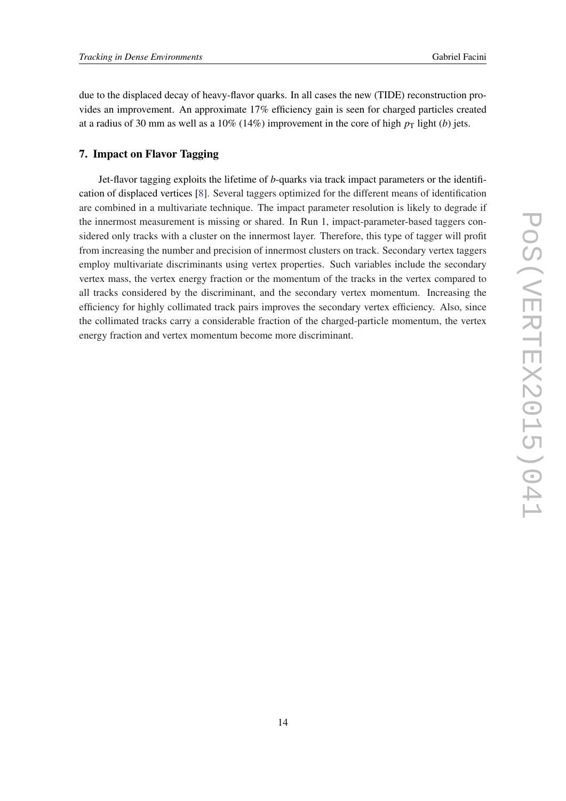<span id="page-13-0"></span>due to the displaced decay of heavy-flavor quarks. In all cases the new (TIDE) reconstruction provides an improvement. An approximate 17% efficiency gain is seen for charged particles created at a radius of 30 mm as well as a 10% (14%) improvement in the core of high  $p<sub>T</sub>$  light (*b*) jets.

# 7. Impact on Flavor Tagging

Jet-flavor tagging exploits the lifetime of *b*-quarks via track impact parameters or the identification of displaced vertices [[8](#page-17-0)]. Several taggers optimized for the different means of identification are combined in a multivariate technique. The impact parameter resolution is likely to degrade if the innermost measurement is missing or shared. In Run 1, impact-parameter-based taggers considered only tracks with a cluster on the innermost layer. Therefore, this type of tagger will profit from increasing the number and precision of innermost clusters on track. Secondary vertex taggers employ multivariate discriminants using vertex properties. Such variables include the secondary vertex mass, the vertex energy fraction or the momentum of the tracks in the vertex compared to all tracks considered by the discriminant, and the secondary vertex momentum. Increasing the efficiency for highly collimated track pairs improves the secondary vertex efficiency. Also, since the collimated tracks carry a considerable fraction of the charged-particle momentum, the vertex energy fraction and vertex momentum become more discriminant.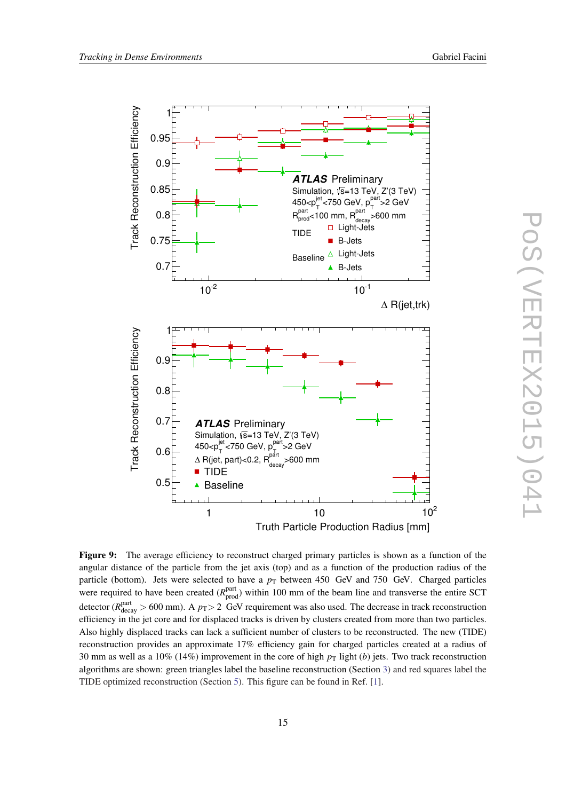<span id="page-14-0"></span>

PoS(VERTEX2015)041 POS(VERTEX2015)04

Figure 9: The average efficiency to reconstruct charged primary particles is shown as a function of the angular distance of the particle from the jet axis (top) and as a function of the production radius of the particle (bottom). Jets were selected to have a  $p_T$  between 450 GeV and 750 GeV. Charged particles were required to have been created  $(R_{\text{prod}}^{\text{part}})$  within 100 mm of the beam line and transverse the entire SCT detector ( $R_{\text{decay}}^{\text{part}} > 600$  mm). A  $p_T > 2$  GeV requirement was also used. The decrease in track reconstruction efficiency in the jet core and for displaced tracks is driven by clusters created from more than two particles. Also highly displaced tracks can lack a sufficient number of clusters to be reconstructed. The new (TIDE) reconstruction provides an approximate 17% efficiency gain for charged particles created at a radius of 30 mm as well as a 10% (14%) improvement in the core of high  $p<sub>T</sub>$  light (*b*) jets. Two track reconstruction algorithms are shown: green triangles label the baseline reconstruction (Section [3\)](#page-2-0) and red squares label the TIDE optimized reconstruction (Section [5](#page-4-0)). This figure can be found in Ref. [[1\]](#page-16-0).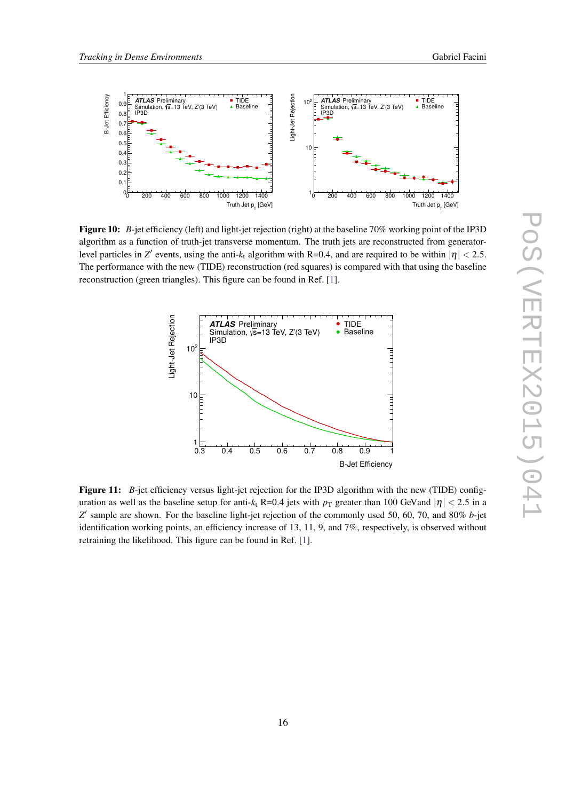<span id="page-15-0"></span>

Figure 10: *B*-jet efficiency (left) and light-jet rejection (right) at the baseline 70% working point of the IP3D algorithm as a function of truth-jet transverse momentum. The truth jets are reconstructed from generatorlevel particles in *Z'* events, using the anti- $k_t$  algorithm with R=0.4, and are required to be within  $|\eta|$  < 2.5. The performance with the new (TIDE) reconstruction (red squares) is compared with that using the baseline reconstruction (green triangles). This figure can be found in Ref. [[1\]](#page-16-0).



Figure 11: *B*-jet efficiency versus light-jet rejection for the IP3D algorithm with the new (TIDE) configuration as well as the baseline setup for anti- $k_t$  R=0.4 jets with  $p_T$  greater than 100 GeV and  $|\eta| < 2.5$  in a Z' sample are shown. For the baseline light-jet rejection of the commonly used 50, 60, 70, and 80% *b*-jet identification working points, an efficiency increase of 13, 11, 9, and 7%, respectively, is observed without retraining the likelihood. This figure can be found in Ref. [[1\]](#page-16-0).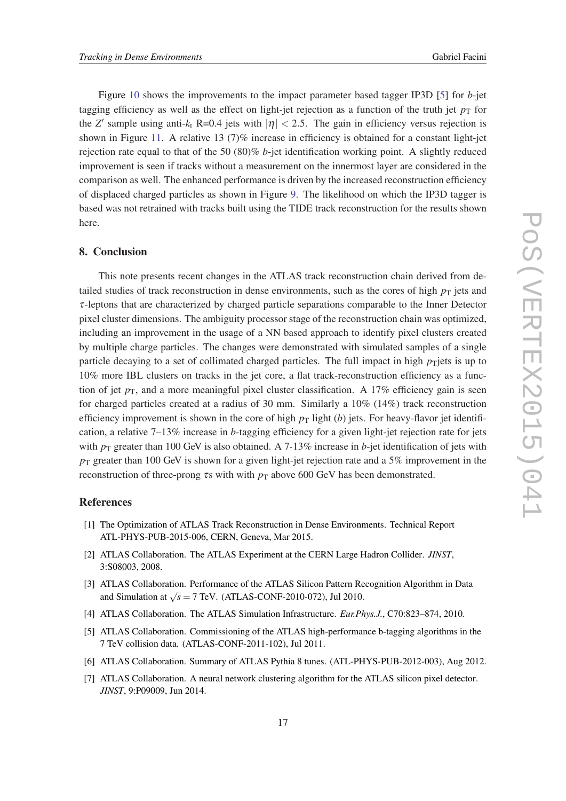<span id="page-16-0"></span>Figure [10](#page-15-0) shows the improvements to the impact parameter based tagger IP3D [5] for *b*-jet tagging efficiency as well as the effect on light-jet rejection as a function of the truth jet  $p<sub>T</sub>$  for the *Z'* sample using anti- $k_t$  R=0.4 jets with  $|\eta| < 2.5$ . The gain in efficiency versus rejection is shown in Figure [11.](#page-15-0) A relative 13 (7)% increase in efficiency is obtained for a constant light-jet rejection rate equal to that of the 50 (80)% *b*-jet identification working point. A slightly reduced improvement is seen if tracks without a measurement on the innermost layer are considered in the comparison as well. The enhanced performance is driven by the increased reconstruction efficiency of displaced charged particles as shown in Figure [9](#page-14-0). The likelihood on which the IP3D tagger is based was not retrained with tracks built using the TIDE track reconstruction for the results shown here.

# 8. Conclusion

This note presents recent changes in the ATLAS track reconstruction chain derived from detailed studies of track reconstruction in dense environments, such as the cores of high  $p<sub>T</sub>$  jets and τ-leptons that are characterized by charged particle separations comparable to the Inner Detector pixel cluster dimensions. The ambiguity processor stage of the reconstruction chain was optimized, including an improvement in the usage of a NN based approach to identify pixel clusters created by multiple charge particles. The changes were demonstrated with simulated samples of a single particle decaying to a set of collimated charged particles. The full impact in high  $p_T$ jets is up to 10% more IBL clusters on tracks in the jet core, a flat track-reconstruction efficiency as a function of jet  $p<sub>T</sub>$ , and a more meaningful pixel cluster classification. A 17% efficiency gain is seen for charged particles created at a radius of 30 mm. Similarly a 10% (14%) track reconstruction efficiency improvement is shown in the core of high  $p<sub>T</sub>$  light (*b*) jets. For heavy-flavor jet identification, a relative 7–13% increase in *b*-tagging efficiency for a given light-jet rejection rate for jets with  $p_T$  greater than 100 GeV is also obtained. A 7-13% increase in *b*-jet identification of jets with  $p_T$  greater than 100 GeV is shown for a given light-jet rejection rate and a 5% improvement in the reconstruction of three-prong  $\tau$ s with with  $p_T$  above 600 GeV has been demonstrated.

### References

- [1] The Optimization of ATLAS Track Reconstruction in Dense Environments. Technical Report ATL-PHYS-PUB-2015-006, CERN, Geneva, Mar 2015.
- [2] ATLAS Collaboration. The ATLAS Experiment at the CERN Large Hadron Collider. *JINST*, 3:S08003, 2008.
- [3] ATLAS Collaboration. Performance of the ATLAS Silicon Pattern Recognition Algorithm in Data and Simulation at  $\sqrt{s} = 7$  TeV. (ATLAS-CONF-2010-072), Jul 2010.
- [4] ATLAS Collaboration. The ATLAS Simulation Infrastructure. *Eur.Phys.J.*, C70:823–874, 2010.
- [5] ATLAS Collaboration. Commissioning of the ATLAS high-performance b-tagging algorithms in the 7 TeV collision data. (ATLAS-CONF-2011-102), Jul 2011.
- [6] ATLAS Collaboration. Summary of ATLAS Pythia 8 tunes. (ATL-PHYS-PUB-2012-003), Aug 2012.
- [7] ATLAS Collaboration. A neural network clustering algorithm for the ATLAS silicon pixel detector. *JINST*, 9:P09009, Jun 2014.